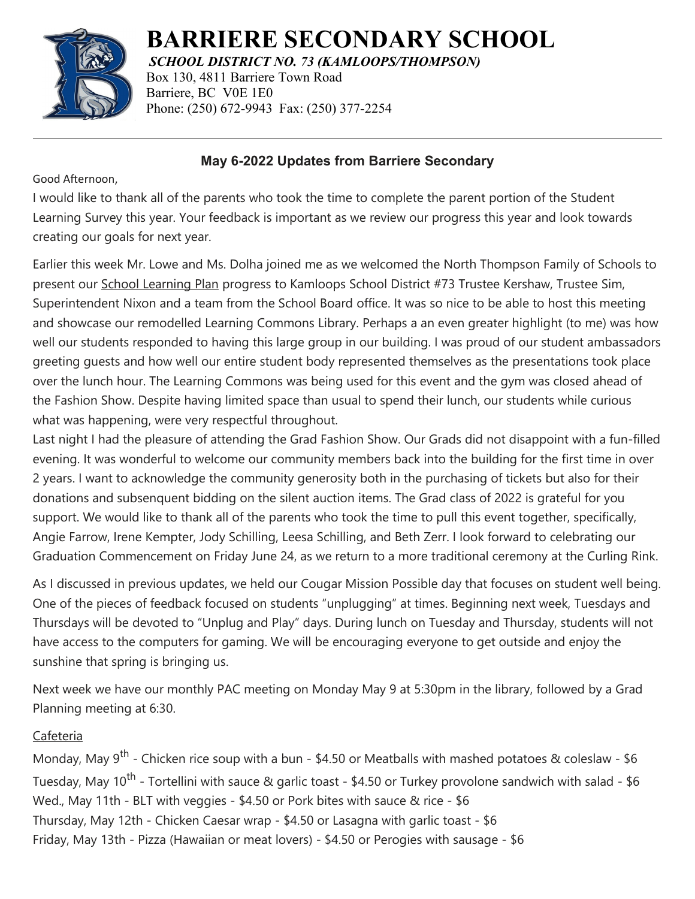

**BARRIERE SECONDARY SCHOOL**

*SCHOOL DISTRICT NO. 73 (KAMLOOPS/THOMPSON)*

Box 130, 4811 Barriere Town Road Barriere, BC V0E 1E0 Phone: (250) 672-9943 Fax: (250) 377-2254

## **May 6-2022 Updates from Barriere Secondary**

Good Afternoon,

I would like to thank all of the parents who took the time to complete the parent portion of the Student Learning Survey this year. Your feedback is important as we review our progress this year and look towards creating our goals for next year.

Earlier this week Mr. Lowe and Ms. Dolha joined me as we welcomed the North Thompson Family of Schools to present our [School Learning Plan](https://www.sd73.bc.ca/en/schools-programs/resources/SLP/Barriere_Secondary_June_2021.pdf) progress to Kamloops School District #73 Trustee Kershaw, Trustee Sim, Superintendent Nixon and a team from the School Board office. It was so nice to be able to host this meeting and showcase our remodelled Learning Commons Library. Perhaps a an even greater highlight (to me) was how well our students responded to having this large group in our building. I was proud of our student ambassadors greeting guests and how well our entire student body represented themselves as the presentations took place over the lunch hour. The Learning Commons was being used for this event and the gym was closed ahead of the Fashion Show. Despite having limited space than usual to spend their lunch, our students while curious what was happening, were very respectful throughout.

Last night I had the pleasure of attending the Grad Fashion Show. Our Grads did not disappoint with a fun-filled evening. It was wonderful to welcome our community members back into the building for the first time in over 2 years. I want to acknowledge the community generosity both in the purchasing of tickets but also for their donations and subsenquent bidding on the silent auction items. The Grad class of 2022 is grateful for you support. We would like to thank all of the parents who took the time to pull this event together, specifically, Angie Farrow, Irene Kempter, Jody Schilling, Leesa Schilling, and Beth Zerr. I look forward to celebrating our Graduation Commencement on Friday June 24, as we return to a more traditional ceremony at the Curling Rink.

As I discussed in previous updates, we held our Cougar Mission Possible day that focuses on student well being. One of the pieces of feedback focused on students "unplugging" at times. Beginning next week, Tuesdays and Thursdays will be devoted to "Unplug and Play" days. During lunch on Tuesday and Thursday, students will not have access to the computers for gaming. We will be encouraging everyone to get outside and enjoy the sunshine that spring is bringing us.

Next week we have our monthly PAC meeting on Monday May 9 at 5:30pm in the library, followed by a Grad Planning meeting at 6:30.

## Cafeteria

Monday, May 9<sup>th</sup> - Chicken rice soup with a bun - \$4.50 or Meatballs with mashed potatoes & coleslaw - \$6 Tuesday, May 10<sup>th</sup> - Tortellini with sauce & garlic toast - \$4.50 or Turkey provolone sandwich with salad - \$6 Wed., May 11th - BLT with veggies - \$4.50 or Pork bites with sauce & rice - \$6 Thursday, May 12th - Chicken Caesar wrap - \$4.50 or Lasagna with garlic toast - \$6 Friday, May 13th - Pizza (Hawaiian or meat lovers) - \$4.50 or Perogies with sausage - \$6